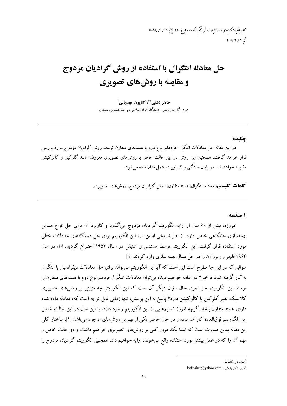مجله رياضيات کاربردی واحد لابيجان ، سال بشم ، شار وسوم (بیایی ۳۰) ، پاين<sub>تر</sub> ۴*۹ ص ص* ۲۵-۱۹  $T - \lambda - T - \lambda T$ 

# حل معادله انتگرال با استفاده از روش گرادیان مزدوج و مقایسه با روش های تصویری

طاهر لطفي ٌّ ٰ، كتايون مهدياني ` ۱و۲-گروه ریاضی، دانشگاه آزاد اسلامی، واحد همدان، همدان

#### حكىدە

در این مقاله حل معادلات انتگرال فردهلم نوع دوم با هستههای متقارن توسط روش گرادیان مزدوج مورد بررسی قرار خواهد گرفت. همچنین این روش در این حالت خاص با روشهای تصویری معروف مانند گلرکین و کالوکیشن مقايسه خواهد شد. در پايان سادگي و كارايي در عمل نشان داده مي شود.

**کلمات کلیدی:** معادله انتگرال، هسته متقارن، روش گرادیان مزدوج، روشهای تصویری.

١ مقدمه

امروزه، بیش از ۶۰ سال از ارایه الگوریتم گرادیان مزدوج می گذرد و کاربرد آن برای حل انواع مسایل بهینهسازی جایگاهی خاص دارد. از نظر تاریخی اولین بار، این الگوریتم برای حل دستگاههای معادلات خطی مورد استفاده قرار گرفت. این الگوریتم توسط هستنس و اشتیفل در سـال ۱۹۵۲ اختـراع گردید. اما، در سال ۱۹۶۴ فلچر و ریوز آن را در حل مسال بهینه سازی وارد کردند [۱].

سوالی که در این جا مطرح است این است که آیا این الگوریتم میتواند برای حل معادلات دیفرانسیل یا انتگرال به کار گرفته شود یا خیر؟ در ادامه خواهیم دید، میتوان معادلات انتگرال فردهم نوع دوم با هستههای متقارن را توسط این الگوریتم حل نمود. حال سؤال دیگر آن است که این الگوریتم چه مزیتی بر روشهای تصویری کلاسیک نظیر گلرکین یا کالوکیشن دارد؟ پاسخ به این پرسش، تنها زمانی قابل توجه است که، معادله داده شده دارای هسته متقارن باشد. گرچه امروز تعمیمهایی از این الگوریتم وجود دارد، با این حال در این حالت خاص اين الگوريتم فوقالعاده كارآمد بوده و در حال حاضر يكي از بهترين روشهاي موجود مي باشد [۱]. ساختار كلي این مقاله بدین صورت است که ابتدا یک مرور کلی بر روشهای تصویری خواهیم داشت و دو حالت خاص و مهم آن را که در عمل بیشتر مورد استفاده واقع میشوند، ارایه خواهیم داد. همچنین الگوریتم گرادیان مزدوج را

<sup>.&</sup>lt;br>عهده دار مکاتبات

آدرس الكترونيكي : lotfitaher@yahoo.com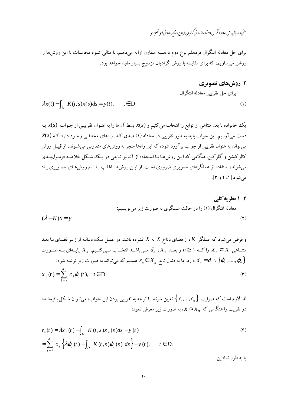# <sup>لط</sup>غی *و مهدی*انی، <sup>ص</sup>ل معادله انمتمرال بااستاده از روش کرادیان مزدوج و مقاسه باروش **پ**ی تصویری

برای حل معادله انتگرال فردهلم نوع دوم با هسته متقارن ارایه میدهیم. با مثالی شیوه محاسبات با این روش۵ا را روشن میسازیم، که برای مقایسه با روش گرادیان مزدوج بسیار مفید خواهد بود.

7 روشهای تصويزی  
برای ط تقریبی معادله انتگرال  
(1) 
$$
\lambda x(t) - \int_D K(t,s) x(s) ds = y(t), \qquad t \in D
$$

یک خانواده با بعد متناهی از توابع را انتخاب میکنیم و  $\tilde{\mathfrak{X}}(S)$  بسط آنها را به عنـوان تقریبـی از جـواب  $\mathfrak{X}(S)$  بـه  $\tilde{\mathfrak{X}}(S)$  دست می $\bar{\mathfrak{f}}$ وریم. این جواب باید به طور تقریبی در معادله (۱) صدق کند. راههای مختلفـی وجـود دارد کـه می تواند به عنوان تقریبی از جواب بر آورد شود، که این راهها منجر به روشهای متفاوتی می شـوند، از قبیـل روش کالوکیشن و گلرکین. هنگامی که ایـن روش هـا بـا اسـتفاده از آنـالیز تـابعی در یـک شـکل خلاصـه فرمـولıبنـدی میشوند، استفاده از عملگرهای تصویری ضروری است. از ایـن روشهـا اغلـب بـا نـام روشهـای تصـویری یـاد می شو د [ ۱، ۲ و ۳].

و فرض میشود که عملگر X، از فضای باناخ X به X فشرده باشد. در عمل یک دنباله از زیر فضای با بعد  
متنامی 
$$
X_n \subset X
$$
 را که ۱ ≥ ۱ و بعد،  $d_n \circ X_n$  مصیاشد انتخاب مسی کنیم.  $X_n \cup X_n \subset X$  مسورت  
متنامی  $A_n \subset X$  راکه ۱ ≦ ۱ و بعد، ۶ $X_n \in X_n$  مستیم که می تواند به صورت زیر نوشته شود:  
 $x_n(t) = \sum_{j=1}^d c_j \varphi_j(t)$ ,  $t \in D$  (۳)

لذا لازم است که ضرایب 
$$
\set{c, ..., c_d}
$$
 تعیین شوند. با توجه به تقریبی بودن این جواب، میتوان شکل باقیمانده  
در تقریب را هنگامی که  $x_n \approx x$  به صورت زیر معرفی نمود:

$$
r_n(t) = \lambda x_n(t) - \int_D K(t, s) x_n(s) ds - y(t)
$$
  
= 
$$
\sum_{j=1}^d c_j \left\{ \lambda \varphi_j(t) - \int_D K(t, s) \varphi_j(s) ds \right\} - y(t), \qquad t \in D.
$$
 (9)

يا به طور نمادين: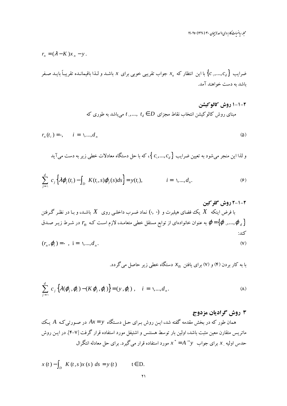مجله رياضيات كاربردي واحد لاسچان ۳۰ (۱۳۹۰) ۲۵-۱۹

$$
r_n = (\lambda - K)x_n - y.
$$

ضرایب 
$$
\left\{c_1,...,c_d\right\}
$$
ب باین انتظار که  $x_n$  جواب تقریبی خوبی برای  $x$  باشد و لذا باقیمانده تقریباً باید صفر باشده توریباً

۲–۱–۱ **روش کالوکیشن**  
مبنای روش کالو کیشن انتخاب نقاط مجزای 
$$
t
$$
 ,...,  $t$ ه ی باشد به طوری که

$$
r_n(t_i) = \cdot, \qquad i = 1, \dots, d_n \tag{2}
$$

و لذا این منجر میشود به تعیین ضرایب
$$
\set{c,,...,c_d}
$$
، که با حل دستگاه معادلات خطی زیر به دست می آید

$$
\sum_{j=1}^{d} c_j \left\{ \lambda \varphi_j(t_i) - \int_D K(t_i, s) \varphi_j(s) ds \right\} = y(t_i), \qquad i = 1, ..., d_n.
$$
\n(9)

۲–۱–۲ روش گلرکین  
با فرض اینکه X یک فضای هیلبرت و (۰,۰) نماد ضرب داخلی روی X باشده و با در نظر گرفتن  
{
$$
\varphi = \{\varphi_1, ..., \varphi_d\}
$$
تیز امادهای از توابع مستقل خطی متعامده لازم است که 7<sub>n</sub> در شرط زیر صدق  
کند:

$$
(r_n, \varphi_i) = \cdot \ , \ i = \ \lambda, \dots, d_n. \tag{V}
$$

با به کار بردن (۴) و (۷) برای یافتن  $x_n$  دستگاه خطی زیر حاصل میگردد.

$$
\sum_{j=1}^{d} c_j \left\{ \lambda(\varphi_j, \varphi_i) - (K \varphi_j, \varphi_i) \right\} = (y, \varphi_i), \quad i = 1, ..., d_n.
$$
 (A)

### ۳ روش گرادیان مزدوج

همان طور که در بخش مقدمه گفته شد، ایـن روش بـرای حـل دسـتگاه  $A \star = y$  در صـورتی $A$  یـک ماتریس متقارن معین مثبت باشد، اولین بار توسط هستنس و اشتیفل مورد استفاده قرار گرفت [۷–۴]. در ایــن روش حدس اولیه <sub>.</sub> x برای جواب  $x^*=A^{-1}$  مورد استفاده قرار میگیرد. برای حل معادله انتگرال

$$
x(t) - \int_D K(t,s)x(s) \, ds = y(t) \qquad t \in D.
$$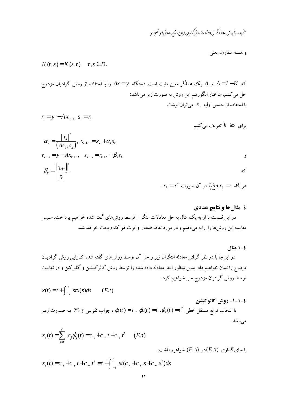$$
K(t,s) = K(s,t) \quad t,s \in D.
$$

که  $A=I-K$  و  $A$  یک عملگر معین مثبت است. دستگاه  $A$ ت $X=y$  را با استفاده از روش گرادیان مزدوج حل می کنیم. ساختار الگوریتم این روش به صورت زیر میباشد: با استفاده از حدس اولیه  $x$  میتوان نوشت

$$
r = y - Ax, \, , \, s = r
$$

برای ۰ 
$$
k \geq k
$$
 تعریف می کنیم

$$
\alpha_{k} = \frac{\|r_{k}\|^{r}}{(As_{k}, s_{k})}, x_{k+1} = x_{k} + \alpha_{k} s_{k}
$$
\n
$$
r_{k+1} = y - Ax_{k+1}, s_{k+1} = r_{k+1} + \beta_{k} s_{k}
$$
\n
$$
\beta_{k} = \frac{\|r_{k+1}\|^{r}}{\|r_{k}\|^{r}}
$$
\n
$$
x_{k} = x^{*} \text{ where } r_{k} = \alpha_{k} \text{ and } s \text{ is the same as } r_{k+1} = r_{k+1} \text{ and } s \text{ is the same as } r_{k+1} = r_{k+1} \text{ and } s \text{ is the same as } r_{k+1} = r_{k+1} \text{ and } s \text{ is the same as } r_{k+1} = r_{k+1} \text{ and } s \text{ is the same as } r_{k+1} = r_{k+1} \text{ and } s \text{ is the same as } s \text{ is the same as } s \text{ is the same as } s \text{ is the same as } s \text{ is the same as } s \text{ is the same as } s \text{ is the same as } s \text{ is the same as } s \text{ is the same as } s \text{ is the same as } s \text{ is the same as } s \text{ is the same as } s \text{ is the same as } s \text{ is the same as } s \text{ is the same as } s \text{ is the same as } s \text{ is the same as } s \text{ is the same as } s \text{ is the same as } s \text{ is the same as } s \text{ is the same as } s \text{ is the same as } s \text{ is the same as } s \text{ is the same as } s \text{ is the same as } s \text{ is the same as } s \text{ is the same as } s \text{ is the same as } s \text{ is the same as } s \text{ is the same as } s \text{ is the same as } s \text{ is the same as } s \text{ is the same as } s \text{ is the same as } s \text{ is the same as } s \text{ is the same as } s \text{ is the same as } s \text{ is the same as } s \text{ is the same as } s \text{ is the same as } s \text{ is the same as } s \text{ is the same as } s \text{ is the same as } s \text{ is the same as } s \text{ is the same as } s \text{ is the same as } s \text{ is the same as } s \text{ is the same as } s \text{ is the same as } s \text{ is the same as } s \text
$$

### ٤ مثالها و نتايج عددي

#### ٤–١ مثال

در اینجا با در نظر گرفتن معادله انتگرال زیر و حل آن توسط روش۵ای گفته شده کـارایی روش گرادیـان مزدوج را نشان خواهیم داد. بدین منظور ابتدا معادله داده شده را توسط روش کالوکیشـن و گلـرکین و در نهایـت توسط روش گراديان مزدوج حل خواهيم كرد.

$$
x(t) = t + \int_{-1}^{1} stx(s)ds \qquad (E.1)
$$

#### ٤-١-١- روش كالوكيشن

با انتخاب توابع مستقل خطی  $\phi_{\rm r}(t)=t\,$  ،  $\varphi_{\rm r}(t)=t\,$  ،  $\varphi_{\rm r}(t)=t\,$  ، به صـورت زیـر ،  $\varphi_{\rm r}(t)=t\,$  ، به صـورت زیـر می باشد.

$$
x_{\tau}(t) = \sum_{j=1}^{r} c_{j} \varphi_{j}(t) = c_{\tau} + c_{\tau} t + c_{\tau} t^{\tau} \quad (E. \tau)
$$

با جای گذاری  $(E.\mathfrak{r})$ در  $(E.\mathfrak{r})$  خواهیم داشت:

$$
x_{\tau}(t) = c_{\tau} + c_{\tau} t + c_{\tau} t^{\tau} = t + \int_{-\tau}^{\tau} st(c_{\tau} + c_{\tau} s + c_{\tau} s^{\tau}) ds
$$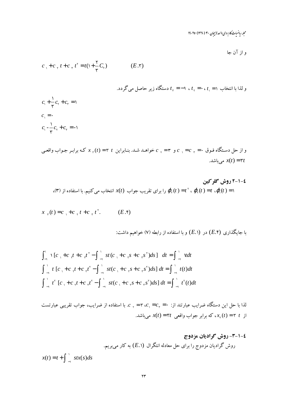مجله رياضيات کاربردی واحد لاسچان ۳۰ (۱۳۹۰) ۲۵-۱۹

و از آن جا

$$
c_{\gamma} + c_{\gamma} t + c_{\gamma} t^{\gamma} = t(\gamma + \frac{\gamma}{\gamma} C_{\gamma})
$$
 (E.7)

$$
c_{\gamma} + \frac{1}{\gamma}c_{\gamma} + c_{\gamma} = 1
$$
\n
$$
c_{\gamma} + \frac{1}{\gamma}c_{\gamma} + c_{\gamma} = 1
$$
\n
$$
c_{\gamma} = 0
$$
\n
$$
c_{\gamma} = 0
$$
\n
$$
c_{\gamma} - \frac{1}{\gamma}c_{\gamma} + c_{\gamma} = -1
$$
\n
$$
c_{\gamma} - \frac{1}{\gamma}c_{\gamma} + c_{\gamma} = -1
$$

$$
x_{r}(t) = c_{r} + c_{r}t + c_{r}t^{r}.
$$
 (E.f)

$$
\int_{-1}^{1} f[c_1 + c_2 t + c_3 t^{\gamma} - \int_{-1}^{1} st(c_1 + c_3 t^{\gamma} - s^{\gamma}) ds] dt = \int_{-1}^{1} vdt
$$
  

$$
\int_{-1}^{1} t[c_1 + c_2 t + c_3 t^{\gamma} - \int_{-1}^{1} st(c_1 + c_3 t^{\gamma} - s^{\gamma}) ds] dt = \int_{-1}^{1} t(t) dt
$$
  

$$
\int_{-1}^{1} t^{\gamma} [c_1 + c_2 t + c_3 t^{\gamma} - \int_{-1}^{1} st(c_1 + c_3 t^{\gamma} - s^{\gamma}) ds] dt = \int_{-1}^{1} t^{\gamma} (t) dt
$$

2-1-7- روش گرادیان مزدوج  
روش گرادیان مزدوج را برای حال معادله انتگرال (E.) به کار میبریم.  

$$
x(t) = t + \int_{-1}^{1} stx(s)ds
$$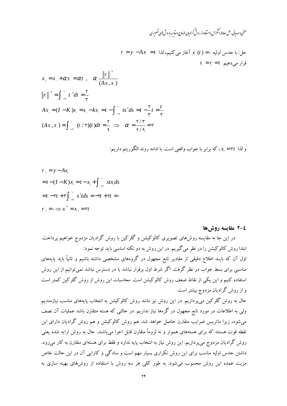# <sup>لط</sup>فی *و مه*دبانی، <sup>ص</sup>ل معادله اُمْتمرال با<sup>ر</sup>تفاده از روش کرادمان مزدوج و مقاسه باروش <sup>ی</sup>ی تصویری

$$
r = y - Ax = t
$$
النا، می کنیم، لڈا 
$$
x_{.}(t) = r \cdot \mathbf{1}_{x} \cdot \mathbf{1}_{x} \cdot \mathbf{1}_{x}
$$
قری می کنیم، لڈا

$$
x_{1} = x_{2} + \alpha_{1} s_{1} = \alpha_{1} t, \quad \alpha_{1} \frac{\Vert r \Vert^{2}}{(As_{1}, s_{1})}
$$
\n
$$
\Vert r \Vert^{2} = \int_{-1}^{1} t^{2} dt = \frac{1}{\tau}
$$
\n
$$
As_{1} = (I - K)s_{1} = s_{1} - ks_{1} = t - \int_{-1}^{1} ts^{2} ds = t - \frac{1}{\tau} t = \frac{t}{\tau}
$$
\n
$$
(As_{1}, s_{1}) = \int_{-1}^{1} (t^{2} / \tau)(t) dt = \frac{1}{\tau} \implies \alpha_{1} = \frac{\tau^{2} / \tau}{\tau^{2}} = \tau
$$

و لذا ٣٢ = ٤.٠ كه برابر با جواب واقعي است. با ادامه روند الگوريتم داريم:

$$
r_{1} = y - Ax_{1}
$$
\n
$$
= t - (I - K)x_{1} = t - x_{1} + \int_{-1}^{1} stx_{1}ds
$$
\n
$$
= t - \tau t + \tau \int_{-1}^{1} s^{2}tds = -\tau t + \tau t = \tau
$$
\n
$$
r_{1} = \tau \Rightarrow x^{*} = x_{1} = \tau t
$$

#### ٤-٢ مقايسه روش ها

در این جا به مقایسه روشهای تصویری کالوکیشن و گلرکین با روش گرادیان مزدوج خواهیم پرداخت. ابتدا روش کالوکیشن را در نظر می گیریم. در این روش به دو نکته اساسی باید توجه نمود: اول آن که بایـد اطلاع دقیقی از مقادیر تابع مجهول در گروههای مشخصی داشته باشیم و ثانیاً باید پایههای مناسبی برای بسط جواب در نظر گرفت. اگر شرط اول برقرار نباشد یا در دسترس نباشد نمی توانیم از این روش استفاده کنیم و این یکی از نقاط ضعف روش کالوکیشن است. محاسبات این روش از روش گلرکین کمتر است و از روش گرادیان مزدوج بیشتر است.

حال به روش گلرکین می،پردازیم. در این روش نیز مانند روش کالوکیشن به انتخاب پایههای مناسب نیازمندیم ولی به اطلاعات در مورد تابع مجهول در گرهها نیاز نداریم. در حالتی که هسته متقارن باشد عملیات آن نصف می شود، زیرا ماتریس ضرایب متقارن حاصل خواهد شد. هم روش کالوکیشن و هم روش گرادیان دارای این نقطه قوت هستند که برای هستههای هموار و نه لزوماً متقارن قابل اجرا میباشند. حال به روش ارایه شده یعنی روش گرادیان مزدوج می پردازیم. این روش نیاز به انتخاب پایه ندارد و فقط برای هستهای متقارن به کار می رود. داشتن حدس اولیه مناسب برای این روش تکراری بسیار مهم است و سادگی و کارایی آن در این حالت خاص مزیت عمده این روش محسوب میشود. به طور کلبی هر سه روش با استفاده از روشهای بهینه سازی به